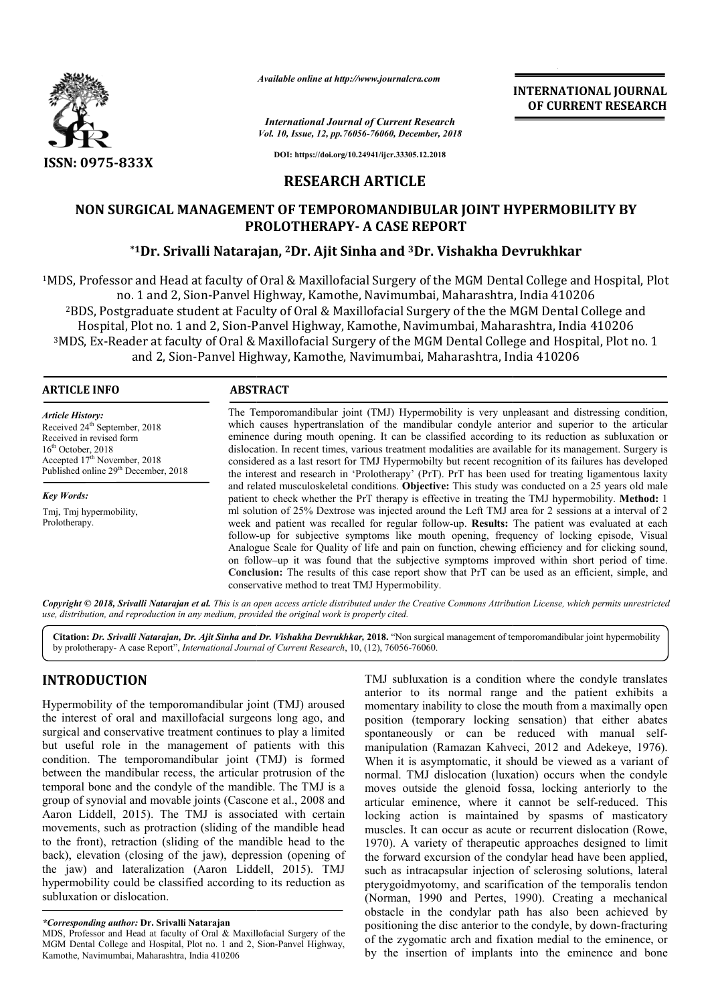

*Available online at http://www.journalcra.com*

*International Journal of Current Research Vol. 10, Issue, 12, pp.76056-76060, December, 2018* **INTERNATIONAL JOURNAL OF CURRENT RESEARCH**

**DOI: https://doi.org/10.24941/ijcr.33305.12.2018**

# **RESEARCH ARTICLE**

# NON SURGICAL MANAGEMENT OF TEMPOROMANDIBULAR JOINT HYPERMOBILITY BY<br>PROLOTHERAPY- A CASE REPORT<br><sup>\*1</sup>Dr. Srivalli Natarajan, <sup>2</sup>Dr. Ajit Sinha and <sup>3</sup>Dr. Vishakha Devrukhkar **PROLOTHERAPY PROLOTHERAPY- A CASE REPORT**

## **\*1Dr. Srivalli Natarajan, Dr. 2Dr. Ajit Sinha and 3Dr. Vishakha Devrukhkar**

<sup>1</sup>MDS, Professor and Head at faculty of Oral & Maxillofacial Surgery of the MGM Dental College and Hospital, Plot<br>no. 1 and 2, Sion-Panvel Highway, Kamothe, Navimumbai, Maharashtra, India 410206 no. 1 and 2, Sion-Panvel Highway, Kamothe, Navimumbai, Maharashtra, India 410206 2BDS, Postgraduate student at Faculty of Oral & Maxillofacial Surgery of the the MGM Dental College and Hospital, Plot no. 1 and 2, Sion-Panvel Highway, Kamothe, Navimumbai, Maharashtra, India 410206 <sup>3</sup>MDS, Ex-Reader at faculty of Oral & Maxillofacial Surgery of the MGM Dental College and Hospital, Plot no. 1 and 2, Sion-Panvel Highway, Kamothe, Navimumbai, Maharashtra, India 410206 Panvel MDS, Professor and Head at faculty of Oral & Maxillofacial Surgery of the MGM Dental College and Hospital, Plot<br>no. 1 and 2, Sion-Panvel Highway, Kamothe, Navimumbai, Maharashtra, India 410206<br><sup>2</sup>BDS, Postgraduate student

#### **ARTICLE INFO ABSTRACT**

*Article History:* Received 24<sup>th</sup> September, 2018 Received in revised form 16<sup>th</sup> October, 2018  $Accepted 17<sup>th</sup> November, 2018$ Published online 29<sup>th</sup> December, 2018

*Key Words:* Tmj, Tmj hypermobility, Prolotherapy.

The Temporomandibular joint (TMJ) Hypermobility is very unpleasant and distressing condition, which causes hypertranslation of the mandibular condyle anterior and superior to the articular The Temporomandibular joint (TMJ) Hypermobility is very unpleasant and distressing condition, which causes hypertranslation of the mandibular condyle anterior and superior to the articular eminence during mouth opening. It dislocation. In recent times, various treatment modalities are available for its management. Surgery is considered as a last resort for TMJ Hypermobilty but recent recognition of its failures has developed the interest and research in 'Prolotherapy' (PrT). PrT has been used for treating ligamentous laxity and related musculoskeletal conditions. **Objective:** This study was conducted on a 25 years old male patient to check whether the PrT therapy is effective in treating the TMJ hypermobility. Method: 1 ml solution of 25% Dextrose was injected around the Left TMJ area for 2 sessions at a interval of 2 ml solution of 25% Dextrose was injected around the Left TMJ area for 2 sessions at a interval of 2 week and patient was recalled for regular follow-up. **Results:** The patient was evaluated at each follow-up for subjective symptoms like mouth opening, frequency of locking episode, Visual Analogue Scale for Quality of life and pain on function, chewing efficiency and for clicking sound, on follow follow–up it was found that the subjective symptoms improved within short period of time. **Conclusio Conclusion:** The results of this case report show that PrT can be used as an efficient, simple, and conservative method to treat TMJ Hypermobility. dislocation. In recent times, various treatment modalities are available for its management. Surgery is considered as a last resort for TMJ Hypermobilty but recent recognition of its failures has developed the interest and follow-up for subjective symptoms like mouth opening, frequency of locking episode, Vi Analogue Scale for Quality of life and pain on function, chewing efficiency and for clicking so on follow-up it was found that the subj

Copyright © 2018, Srivalli Natarajan et al. This is an open access article distributed under the Creative Commons Attribution License, which permits unrestrictea *use, distribution, and reproduction in any medium, provided the original work is properly cited.*

Citation: Dr. Srivalli Natarajan, Dr. Ajit Sinha and Dr. Vishakha Devrukhkar, 2018. "Non surgical management of temporomandibular joint hypermobility by prolotherapy- A case Report", *International Journal of Current Research* , 10, (12), 76056-76060.

# **INTRODUCTION**

Hypermobility of the temporomandibular joint (TMJ) aroused the interest of oral and maxillofacial surgeons long ago, and surgical and conservative treatment continues to play a limited but useful role in the management of patients with this condition. The temporomandibular joint (TMJ) is formed between the mandibular recess, the articular protrusion of the temporal bone and the condyle of the mandible. The TMJ is a group of synovial and movable joints (Cascone et al., 2008 and Aaron Liddell, 2015). The TMJ is associated with certain movements, such as protraction (sliding of the mandible head to the front), retraction (sliding of the mandible head to the back), elevation (closing of the jaw), depression (opening of the jaw) and lateralization (Aaron Liddell, 2015). TMJ hypermobility could be classified according to its reduction as subluxation or dislocation.

TMJ subluxation is a condition where the condyle translates anterior to its normal range and the patient exhibits a momentary inability to close the mouth from a maximally open position (temporary locking sensation) that either abates position (temporary locking sensation) that either abates<br>spontaneously or can be reduced with manual selfmanipulation (Ramazan Kahveci, 2012 and Adekeye, 1976). When it is asymptomatic, it should be viewed as a variant of normal. TMJ dislocation (luxation) occurs when the condyle moves outside the glenoid fossa, locking anteriorly to the articular eminence, where it cannot be self-reduced. This locking action is maintained by spasms of masticatory locking action is maintained by spasms of masticatory muscles. It can occur as acute or recurrent dislocation (Rowe, 1970). A variety of therapeutic approaches designed to limit the forward excursion of the condylar head have been applied, such as intracapsular injection of sclerosing solutions, lateral 1970). A variety of therapeutic approaches designed to limit the forward excursion of the condylar head have been applied, such as intracapsular injection of sclerosing solutions, lateral pterygoidmyotomy, and scarificatio (Norman, 1990 and Pertes, 1990). Creating a mechanical obstacle in the condylar path has also been achieved by positioning the disc anterior to the condyle, by down of the zygomatic arch and fixation medial to the eminence, or by the insertion of implants into the eminence and bone TMJ subluxation is a condition where the condyle translates anterior to its normal range and the patient exhibits a momentary inability to close the mouth from a maximally open ion (Ramazan Kahveci, 2012 and Adekeye, 1976).<br>
s asymptomatic, it should be viewed as a variant of<br>
MJ dislocation (luxation) occurs when the condyle<br>
tiside the glenoid fossa, locking anteriorly to the<br>
eminence, where i (Norman, 1990 and Pertes, 1990). Creating a mechanical obstacle in the condylar path has also been achieved by positioning the disc anterior to the condyle, by down-fracturing INTERNATIONAL JOURNAL<br>
Corrent Research<br>
Corrent Research<br>
Corrent Research<br>
Corrent Research<br>
Corrent Research<br>
2016<br>
1043-132918<br>
ARTICLE<br>
MANDIBULAR JOINT HYPERMOBEILITY BY<br>
RTICLE<br>
MANDIBULAR JOINT HYPERMOBEILITY BY<br>
R

*<sup>\*</sup>Corresponding author:* **Dr. Srivalli Natarajan**

MDS, Professor and Head at faculty of Oral & Maxillofacial Surgery of the MGM Dental College and Hospital, Plot no. 1 and 2, Sion-Panvel Highway, Kamothe, Navimumbai, Maharashtra, India 410206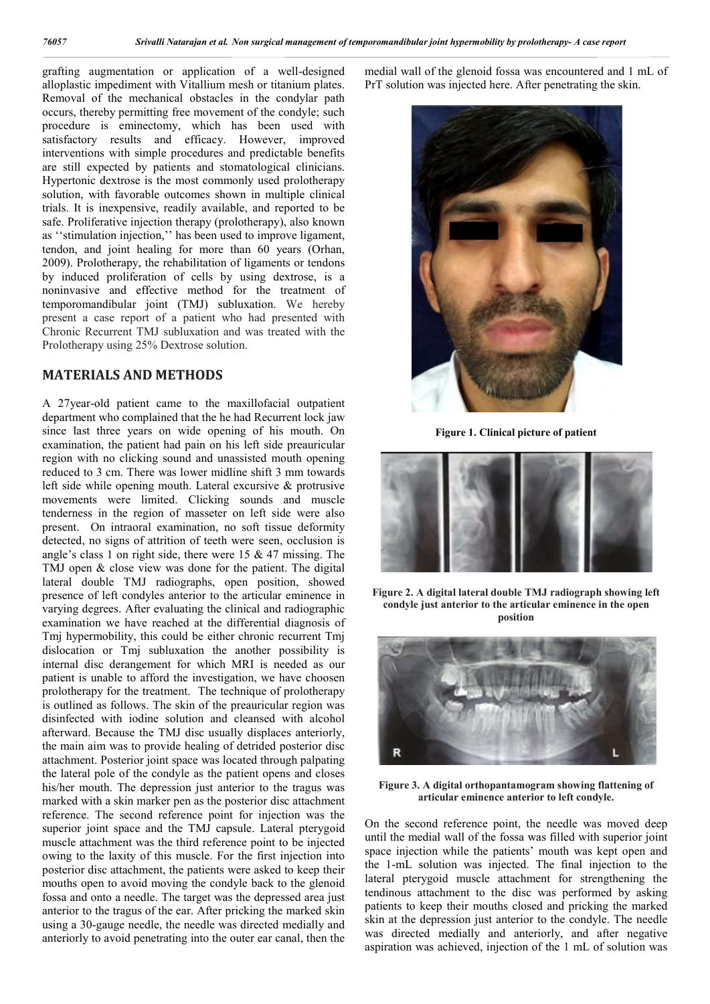grafting augmentation or application of a well-designed alloplastic impediment with Vitallium mesh or titanium plates. Removal of the mechanical obstacles in the condylar path occurs, thereby permitting free movement of the condyle; such procedure is eminectomy, which has been used with satisfactory results and efficacy. However, improved interventions with simple procedures and predictable benefits are still expected by patients and stomatological clinicians. Hypertonic dextrose is the most commonly used prolotherapy solution, with favorable outcomes shown in multiple clinical trials. It is inexpensive, readily available, and reported to be safe. Proliferative injection therapy (prolotherapy), also known as ''stimulation injection,'' has been used to improve ligament, tendon, and joint healing for more than 60 years (Orhan, 2009). Prolotherapy, the rehabilitation of ligaments or tendons by induced proliferation of cells by using dextrose, is a noninvasive and effective method for the treatment of temporomandibular joint (TMJ) subluxation. We hereby present a case report of a patient who had presented with Chronic Recurrent TMJ subluxation and was treated with the Prolotherapy using 25% Dextrose solution.

#### **MATERIALS AND METHODS**

A 27year-old patient came to the maxillofacial outpatient department who complained that the he had Recurrent lock jaw since last three years on wide opening of his mouth. On examination, the patient had pain on his left side preauricular region with no clicking sound and unassisted mouth opening reduced to 3 cm. There was lower midline shift 3 mm towards left side while opening mouth. Lateral excursive & protrusive movements were limited. Clicking sounds and muscle tenderness in the region of masseter on left side were also present. On intraoral examination, no soft tissue deformity detected, no signs of attrition of teeth were seen, occlusion is angle's class 1 on right side, there were 15 & 47 missing. The TMJ open & close view was done for the patient. The digital lateral double TMJ radiographs, open position, showed presence of left condyles anterior to the articular eminence in varying degrees. After evaluating the clinical and radiographic examination we have reached at the differential diagnosis of Tmj hypermobility, this could be either chronic recurrent Tmj dislocation or Tmj subluxation the another possibility is internal disc derangement for which MRI is needed as our patient is unable to afford the investigation, we have choosen prolotherapy for the treatment. The technique of prolotherapy is outlined as follows. The skin of the preauricular region was disinfected with iodine solution and cleansed with alcohol afterward. Because the TMJ disc usually displaces anteriorly, the main aim was to provide healing of detrided posterior disc attachment. Posterior joint space was located through palpating the lateral pole of the condyle as the patient opens and closes his/her mouth. The depression just anterior to the tragus was marked with a skin marker pen as the posterior disc attachment reference. The second reference point for injection was the superior joint space and the TMJ capsule. Lateral pterygoid muscle attachment was the third reference point to be injected owing to the laxity of this muscle. For the first injection into posterior disc attachment, the patients were asked to keep their mouths open to avoid moving the condyle back to the glenoid fossa and onto a needle. The target was the depressed area just anterior to the tragus of the ear. After pricking the marked skin using a 30-gauge needle, the needle was directed medially and anteriorly to avoid penetrating into the outer ear canal, then the

medial wall of the glenoid fossa was encountered and 1 mL of PrT solution was injected here. After penetrating the skin.



**Figure 1. Clinical picture of patient**



**Figure 2. A digital lateral double TMJ radiograph showing left condyle just anterior to the articular eminence in the open position**



**Figure 3. A digital orthopantamogram showing flattening of articular eminence anterior to left condyle.**

On the second reference point, the needle was moved deep until the medial wall of the fossa was filled with superior joint space injection while the patients' mouth was kept open and the 1-mL solution was injected. The final injection to the lateral pterygoid muscle attachment for strengthening the tendinous attachment to the disc was performed by asking patients to keep their mouths closed and pricking the marked skin at the depression just anterior to the condyle. The needle was directed medially and anteriorly, and after negative aspiration was achieved, injection of the 1 mL of solution was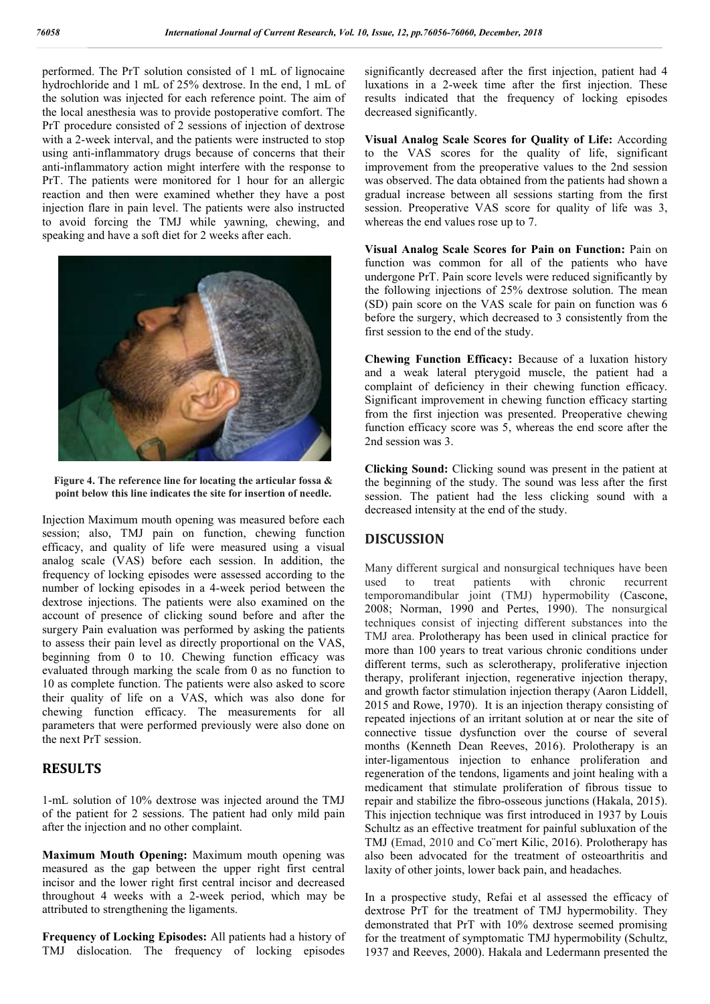performed. The PrT solution consisted of 1 mL of lignocaine hydrochloride and 1 mL of 25% dextrose. In the end, 1 mL of the solution was injected for each reference point. The aim of the local anesthesia was to provide postoperative comfort. The PrT procedure consisted of 2 sessions of injection of dextrose with a 2-week interval, and the patients were instructed to stop using anti-inflammatory drugs because of concerns that their anti-inflammatory action might interfere with the response to PrT. The patients were monitored for 1 hour for an allergic reaction and then were examined whether they have a post injection flare in pain level. The patients were also instructed to avoid forcing the TMJ while yawning, chewing, and speaking and have a soft diet for 2 weeks after each.



**Figure 4. The reference line for locating the articular fossa & point below this line indicates the site for insertion of needle.**

Injection Maximum mouth opening was measured before each session; also, TMJ pain on function, chewing function efficacy, and quality of life were measured using a visual analog scale (VAS) before each session. In addition, the frequency of locking episodes were assessed according to the number of locking episodes in a 4-week period between the dextrose injections. The patients were also examined on the account of presence of clicking sound before and after the surgery Pain evaluation was performed by asking the patients to assess their pain level as directly proportional on the VAS, beginning from 0 to 10. Chewing function efficacy was evaluated through marking the scale from 0 as no function to 10 as complete function. The patients were also asked to score their quality of life on a VAS, which was also done for chewing function efficacy. The measurements for all parameters that were performed previously were also done on the next PrT session.

### **RESULTS**

1-mL solution of 10% dextrose was injected around the TMJ of the patient for 2 sessions. The patient had only mild pain after the injection and no other complaint.

**Maximum Mouth Opening:** Maximum mouth opening was measured as the gap between the upper right first central incisor and the lower right first central incisor and decreased throughout 4 weeks with a 2-week period, which may be attributed to strengthening the ligaments.

**Frequency of Locking Episodes:** All patients had a history of TMJ dislocation. The frequency of locking episodes

significantly decreased after the first injection, patient had 4 luxations in a 2-week time after the first injection. These results indicated that the frequency of locking episodes decreased significantly.

**Visual Analog Scale Scores for Quality of Life:** According to the VAS scores for the quality of life, significant improvement from the preoperative values to the 2nd session was observed. The data obtained from the patients had shown a gradual increase between all sessions starting from the first session. Preoperative VAS score for quality of life was 3, whereas the end values rose up to 7.

**Visual Analog Scale Scores for Pain on Function:** Pain on function was common for all of the patients who have undergone PrT. Pain score levels were reduced significantly by the following injections of 25% dextrose solution. The mean (SD) pain score on the VAS scale for pain on function was 6 before the surgery, which decreased to 3 consistently from the first session to the end of the study.

**Chewing Function Efficacy:** Because of a luxation history and a weak lateral pterygoid muscle, the patient had a complaint of deficiency in their chewing function efficacy. Significant improvement in chewing function efficacy starting from the first injection was presented. Preoperative chewing function efficacy score was 5, whereas the end score after the 2nd session was 3.

**Clicking Sound:** Clicking sound was present in the patient at the beginning of the study. The sound was less after the first session. The patient had the less clicking sound with a decreased intensity at the end of the study.

### **DISCUSSION**

Many different surgical and nonsurgical techniques have been used to treat patients with chronic recurrent temporomandibular joint (TMJ) hypermobility (Cascone, 2008; Norman, 1990 and Pertes, 1990). The nonsurgical techniques consist of injecting different substances into the TMJ area. Prolotherapy has been used in clinical practice for more than 100 years to treat various chronic conditions under different terms, such as sclerotherapy, proliferative injection therapy, proliferant injection, regenerative injection therapy, and growth factor stimulation injection therapy (Aaron Liddell, 2015 and Rowe, 1970). It is an injection therapy consisting of repeated injections of an irritant solution at or near the site of connective tissue dysfunction over the course of several months (Kenneth Dean Reeves, 2016). Prolotherapy is an inter-ligamentous injection to enhance proliferation and regeneration of the tendons, ligaments and joint healing with a medicament that stimulate proliferation of fibrous tissue to repair and stabilize the fibro-osseous junctions (Hakala, 2015). This injection technique was first introduced in 1937 by Louis Schultz as an effective treatment for painful subluxation of the TMJ (Emad, 2010 and Co¨mert Kilic, 2016). Prolotherapy has also been advocated for the treatment of osteoarthritis and laxity of other joints, lower back pain, and headaches.

In a prospective study, Refai et al assessed the efficacy of dextrose PrT for the treatment of TMJ hypermobility. They demonstrated that PrT with 10% dextrose seemed promising for the treatment of symptomatic TMJ hypermobility (Schultz, 1937 and Reeves, 2000). Hakala and Ledermann presented the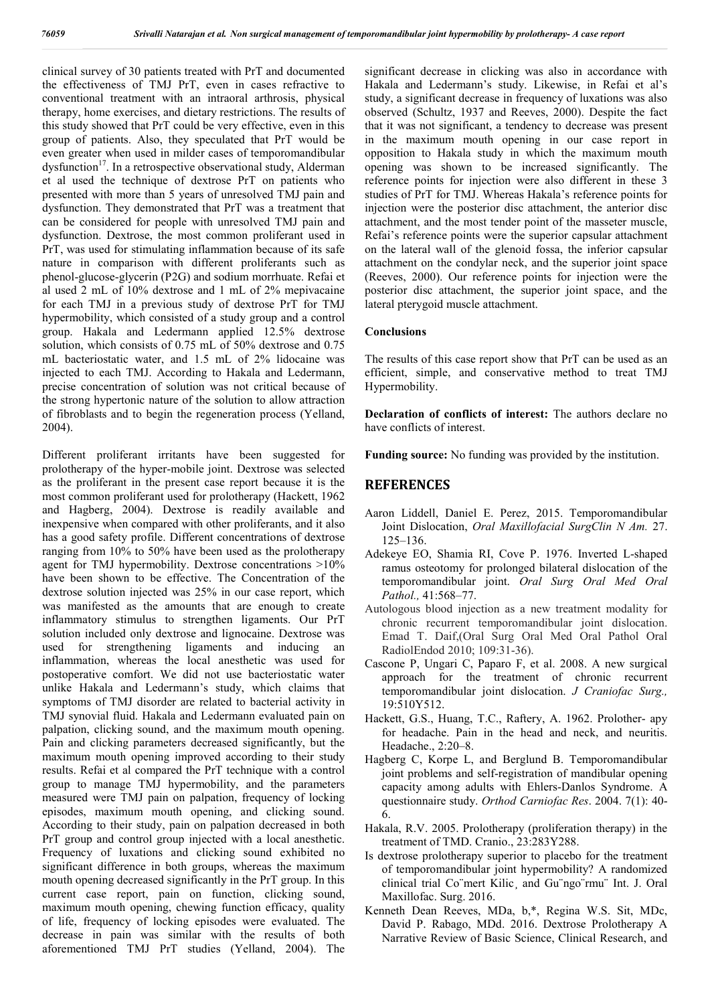clinical survey of 30 patients treated with PrT and documented the effectiveness of TMJ PrT, even in cases refractive to conventional treatment with an intraoral arthrosis, physical therapy, home exercises, and dietary restrictions. The results of this study showed that PrT could be very effective, even in this group of patients. Also, they speculated that PrT would be even greater when used in milder cases of temporomandibular dysfunction<sup>17</sup>. In a retrospective observational study, Alderman et al used the technique of dextrose PrT on patients who presented with more than 5 years of unresolved TMJ pain and dysfunction. They demonstrated that PrT was a treatment that can be considered for people with unresolved TMJ pain and dysfunction. Dextrose, the most common proliferant used in PrT, was used for stimulating inflammation because of its safe nature in comparison with different proliferants such as phenol-glucose-glycerin (P2G) and sodium morrhuate. Refai et al used 2 mL of 10% dextrose and 1 mL of 2% mepivacaine for each TMJ in a previous study of dextrose PrT for TMJ hypermobility, which consisted of a study group and a control group. Hakala and Ledermann applied 12.5% dextrose solution, which consists of 0.75 mL of 50% dextrose and 0.75 mL bacteriostatic water, and 1.5 mL of 2% lidocaine was injected to each TMJ. According to Hakala and Ledermann, precise concentration of solution was not critical because of the strong hypertonic nature of the solution to allow attraction of fibroblasts and to begin the regeneration process (Yelland, 2004).

Different proliferant irritants have been suggested for prolotherapy of the hyper-mobile joint. Dextrose was selected as the proliferant in the present case report because it is the most common proliferant used for prolotherapy (Hackett, 1962 and Hagberg, 2004). Dextrose is readily available and inexpensive when compared with other proliferants, and it also has a good safety profile. Different concentrations of dextrose ranging from 10% to 50% have been used as the prolotherapy agent for TMJ hypermobility. Dextrose concentrations >10% have been shown to be effective. The Concentration of the dextrose solution injected was 25% in our case report, which was manifested as the amounts that are enough to create inflammatory stimulus to strengthen ligaments. Our PrT solution included only dextrose and lignocaine. Dextrose was used for strengthening ligaments and inducing an inflammation, whereas the local anesthetic was used for postoperative comfort. We did not use bacteriostatic water unlike Hakala and Ledermann's study, which claims that symptoms of TMJ disorder are related to bacterial activity in TMJ synovial fluid. Hakala and Ledermann evaluated pain on palpation, clicking sound, and the maximum mouth opening. Pain and clicking parameters decreased significantly, but the maximum mouth opening improved according to their study results. Refai et al compared the PrT technique with a control group to manage TMJ hypermobility, and the parameters measured were TMJ pain on palpation, frequency of locking episodes, maximum mouth opening, and clicking sound. According to their study, pain on palpation decreased in both PrT group and control group injected with a local anesthetic. Frequency of luxations and clicking sound exhibited no significant difference in both groups, whereas the maximum mouth opening decreased significantly in the PrT group. In this current case report, pain on function, clicking sound, maximum mouth opening, chewing function efficacy, quality of life, frequency of locking episodes were evaluated. The decrease in pain was similar with the results of both aforementioned TMJ PrT studies (Yelland, 2004). The

significant decrease in clicking was also in accordance with Hakala and Ledermann's study. Likewise, in Refai et al's study, a significant decrease in frequency of luxations was also observed (Schultz, 1937 and Reeves, 2000). Despite the fact that it was not significant, a tendency to decrease was present in the maximum mouth opening in our case report in opposition to Hakala study in which the maximum mouth opening was shown to be increased significantly. The reference points for injection were also different in these 3 studies of PrT for TMJ. Whereas Hakala's reference points for injection were the posterior disc attachment, the anterior disc attachment, and the most tender point of the masseter muscle, Refai's reference points were the superior capsular attachment on the lateral wall of the glenoid fossa, the inferior capsular attachment on the condylar neck, and the superior joint space (Reeves, 2000). Our reference points for injection were the posterior disc attachment, the superior joint space, and the lateral pterygoid muscle attachment.

#### **Conclusions**

The results of this case report show that PrT can be used as an efficient, simple, and conservative method to treat TMJ Hypermobility.

**Declaration of conflicts of interest:** The authors declare no have conflicts of interest.

**Funding source:** No funding was provided by the institution.

#### **REFERENCES**

- Aaron Liddell, Daniel E. Perez, 2015. Temporomandibular Joint Dislocation, *Oral Maxillofacial SurgClin N Am.* 27. 125–136.
- Adekeye EO, Shamia RI, Cove P. 1976. Inverted L-shaped ramus osteotomy for prolonged bilateral dislocation of the temporomandibular joint. *Oral Surg Oral Med Oral Pathol.,* 41:568–77.
- Autologous blood injection as a new treatment modality for chronic recurrent temporomandibular joint dislocation. Emad T. Daif,(Oral Surg Oral Med Oral Pathol Oral RadiolEndod 2010; 109:31-36).
- Cascone P, Ungari C, Paparo F, et al. 2008. A new surgical approach for the treatment of chronic recurrent temporomandibular joint dislocation. *J Craniofac Surg.,*  19:510Y512.
- Hackett, G.S., Huang, T.C., Raftery, A. 1962. Prolother- apy for headache. Pain in the head and neck, and neuritis. Headache., 2:20–8.
- Hagberg C, Korpe L, and Berglund B. Temporomandibular joint problems and self-registration of mandibular opening capacity among adults with Ehlers-Danlos Syndrome. A questionnaire study. *Orthod Carniofac Res*. 2004. 7(1): 40- 6.
- Hakala, R.V. 2005. Prolotherapy (proliferation therapy) in the treatment of TMD. Cranio., 23:283Y288.
- Is dextrose prolotherapy superior to placebo for the treatment of temporomandibular joint hypermobility? A randomized clinical trial Co¨mert Kilic¸ and Gu¨ngo¨rmu¨ Int. J. Oral Maxillofac. Surg. 2016.
- Kenneth Dean Reeves, MDa, b,\*, Regina W.S. Sit, MDc, David P. Rabago, MDd. 2016. Dextrose Prolotherapy A Narrative Review of Basic Science, Clinical Research, and